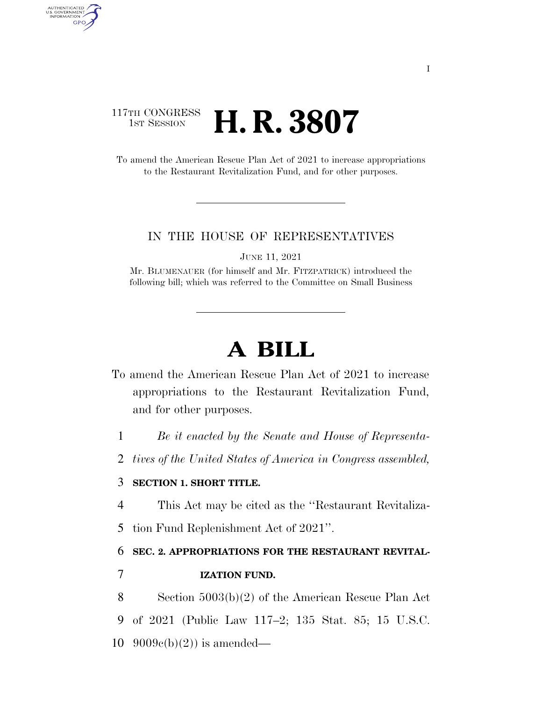## 117TH CONGRESS **1st Session H. R. 3807**

AUTHENTICATED U.S. GOVERNMENT GPO

> To amend the American Rescue Plan Act of 2021 to increase appropriations to the Restaurant Revitalization Fund, and for other purposes.

#### IN THE HOUSE OF REPRESENTATIVES

JUNE 11, 2021

Mr. BLUMENAUER (for himself and Mr. FITZPATRICK) introduced the following bill; which was referred to the Committee on Small Business

# **A BILL**

- To amend the American Rescue Plan Act of 2021 to increase appropriations to the Restaurant Revitalization Fund, and for other purposes.
	- 1 *Be it enacted by the Senate and House of Representa-*
	- 2 *tives of the United States of America in Congress assembled,*

### 3 **SECTION 1. SHORT TITLE.**

4 This Act may be cited as the ''Restaurant Revitaliza-

5 tion Fund Replenishment Act of 2021''.

6 **SEC. 2. APPROPRIATIONS FOR THE RESTAURANT REVITAL-**

### 7 **IZATION FUND.**

8 Section 5003(b)(2) of the American Rescue Plan Act 9 of 2021 (Public Law 117–2; 135 Stat. 85; 15 U.S.C. 10  $9009c(b)(2)$  is amended—